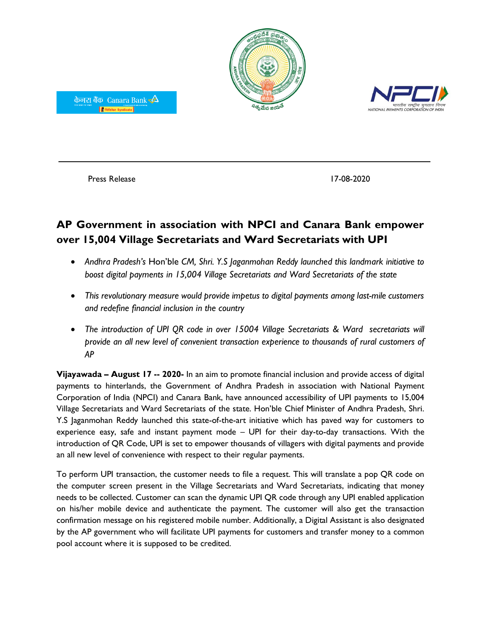



Press Release 17-08-2020

केनरा बैंक Canara Bank  $\triangle$ │ | सिंडिकेट Syndicate │

## **AP Government in association with NPCI and Canara Bank empower over 15,004 Village Secretariats and Ward Secretariats with UPI**

- *Andhra Pradesh's* Hon'ble *CM, Shri. Y.S Jaganmohan Reddy launched this landmark initiative to boost digital payments in 15,004 Village Secretariats and Ward Secretariats of the state*
- *This revolutionary measure would provide impetus to digital payments among last-mile customers and redefine financial inclusion in the country*
- *The introduction of UPI QR code in over 15004 Village Secretariats & Ward secretariats will provide an all new level of convenient transaction experience to thousands of rural customers of AP*

**Vijayawada – August 17 -- 2020-** In an aim to promote financial inclusion and provide access of digital payments to hinterlands, the Government of Andhra Pradesh in association with National Payment Corporation of India (NPCI) and Canara Bank, have announced accessibility of UPI payments to 15,004 Village Secretariats and Ward Secretariats of the state. Hon'ble Chief Minister of Andhra Pradesh, Shri. Y.S Jaganmohan Reddy launched this state-of-the-art initiative which has paved way for customers to experience easy, safe and instant payment mode – UPI for their day-to-day transactions. With the introduction of QR Code, UPI is set to empower thousands of villagers with digital payments and provide an all new level of convenience with respect to their regular payments.

To perform UPI transaction, the customer needs to file a request. This will translate a pop QR code on the computer screen present in the Village Secretariats and Ward Secretariats, indicating that money needs to be collected. Customer can scan the dynamic UPI QR code through any UPI enabled application on his/her mobile device and authenticate the payment. The customer will also get the transaction confirmation message on his registered mobile number. Additionally, a Digital Assistant is also designated by the AP government who will facilitate UPI payments for customers and transfer money to a common pool account where it is supposed to be credited.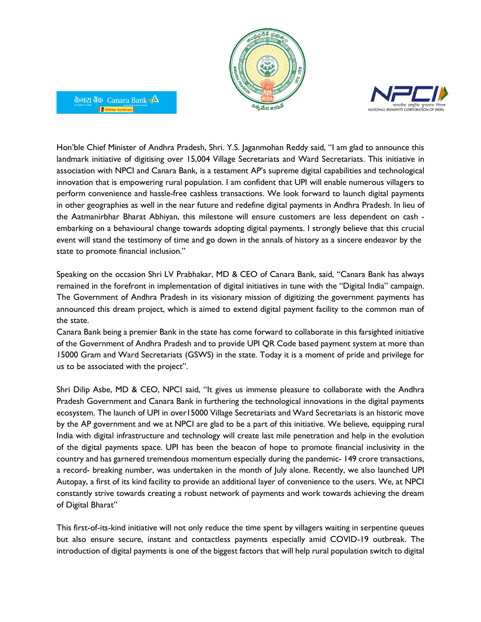



Hon'ble Chief Minister of Andhra Pradesh, Shri. Y.S. Jaganmohan Reddy said, "I am glad to announce this landmark initiative of digitising over 15,004 Village Secretariats and Ward Secretariats. This initiative in association with NPCI and Canara Bank, is a testament AP's supreme digital capabilities and technological innovation that is empowering rural population. I am confident that UPI will enable numerous villagers to perform convenience and hassle-free cashless transactions. We look forward to launch digital payments in other geographies as well in the near future and redefine digital payments in Andhra Pradesh. In lieu of the Aatmanirbhar Bharat Abhiyan, this milestone will ensure customers are less dependent on cash embarking on a behavioural change towards adopting digital payments. I strongly believe that this crucial event will stand the testimony of time and go down in the annals of history as a sincere endeavor by the state to promote financial inclusion."

केनरा बैंक) Canara Bank $\overline{\blacktriangle}$ 

**F** सिडिकेट Syndicate

Speaking on the occasion Shri LV Prabhakar, MD & CEO of Canara Bank, said, "Canara Bank has always remained in the forefront in implementation of digital initiatives in tune with the "Digital India" campaign. The Government of Andhra Pradesh in its visionary mission of digitizing the government payments has announced this dream project, which is aimed to extend digital payment facility to the common man of the state.

Canara Bank being a premier Bank in the state has come forward to collaborate in this farsighted initiative of the Government of Andhra Pradesh and to provide UPI QR Code based payment system at more than 15000 Gram and Ward Secretariats (GSWS) in the state. Today it is a moment of pride and privilege for us to be associated with the project".

Shri Dilip Asbe, MD & CEO, NPCI said, "It gives us immense pleasure to collaborate with the Andhra Pradesh Government and Canara Bank in furthering the technological innovations in the digital payments ecosystem. The launch of UPI in over15000 Village Secretariats and Ward Secretariats is an historic move by the AP government and we at NPCI are glad to be a part of this initiative. We believe, equipping rural India with digital infrastructure and technology will create last mile penetration and help in the evolution of the digital payments space. UPI has been the beacon of hope to promote financial inclusivity in the country and has garnered tremendous momentum especially during the pandemic- 149 crore transactions, a record- breaking number, was undertaken in the month of July alone. Recently, we also launched UPI Autopay, a first of its kind facility to provide an additional layer of convenience to the users. We, at NPCI constantly strive towards creating a robust network of payments and work towards achieving the dream of Digital Bharat"

This first-of-its-kind initiative will not only reduce the time spent by villagers waiting in serpentine queues but also ensure secure, instant and contactless payments especially amid COVID-19 outbreak. The introduction of digital payments is one of the biggest factors that will help rural population switch to digital